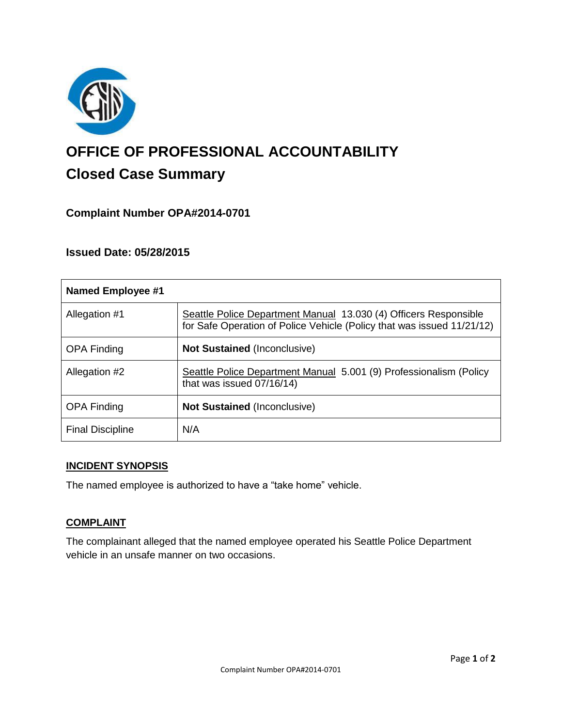

# **OFFICE OF PROFESSIONAL ACCOUNTABILITY Closed Case Summary**

# **Complaint Number OPA#2014-0701**

## **Issued Date: 05/28/2015**

| <b>Named Employee #1</b> |                                                                                                                                            |
|--------------------------|--------------------------------------------------------------------------------------------------------------------------------------------|
| Allegation #1            | Seattle Police Department Manual 13.030 (4) Officers Responsible<br>for Safe Operation of Police Vehicle (Policy that was issued 11/21/12) |
| <b>OPA Finding</b>       | <b>Not Sustained (Inconclusive)</b>                                                                                                        |
| Allegation #2            | Seattle Police Department Manual 5.001 (9) Professionalism (Policy<br>that was issued 07/16/14)                                            |
| <b>OPA Finding</b>       | <b>Not Sustained (Inconclusive)</b>                                                                                                        |
| <b>Final Discipline</b>  | N/A                                                                                                                                        |

# **INCIDENT SYNOPSIS**

The named employee is authorized to have a "take home" vehicle.

# **COMPLAINT**

The complainant alleged that the named employee operated his Seattle Police Department vehicle in an unsafe manner on two occasions.